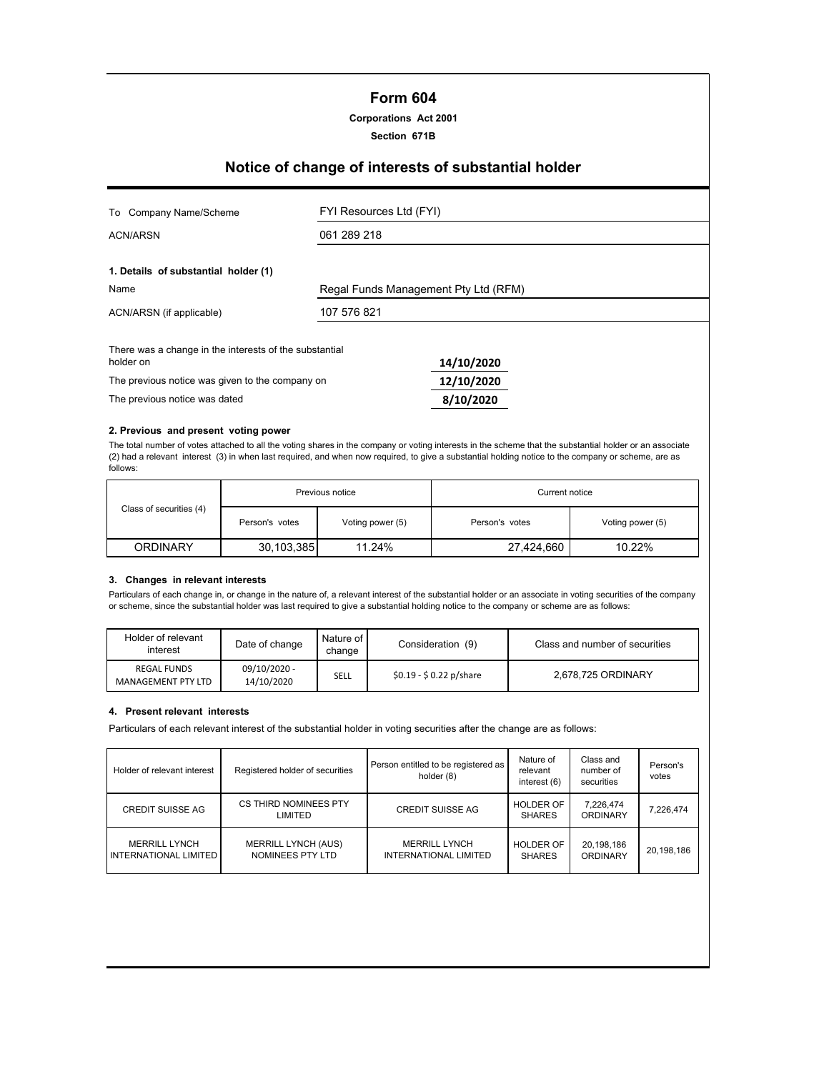# **Form 604**

### **Corporations Act 2001**

**Section 671B**

# **Notice of change of interests of substantial holder**

| Company Name/Scheme<br>To                                           | FYI Resources Ltd (FYI)              |            |  |
|---------------------------------------------------------------------|--------------------------------------|------------|--|
| <b>ACN/ARSN</b>                                                     | 061 289 218                          |            |  |
| 1. Details of substantial holder (1)                                |                                      |            |  |
| Name                                                                | Regal Funds Management Pty Ltd (RFM) |            |  |
| ACN/ARSN (if applicable)                                            | 107 576 821                          |            |  |
| There was a change in the interests of the substantial<br>holder on |                                      | 14/10/2020 |  |
| The previous notice was given to the company on                     |                                      | 12/10/2020 |  |
| The previous notice was dated                                       |                                      | 8/10/2020  |  |

#### **2. Previous and present voting power**

The total number of votes attached to all the voting shares in the company or voting interests in the scheme that the substantial holder or an associate (2) had a relevant interest (3) in when last required, and when now required, to give a substantial holding notice to the company or scheme, are as follows:

|                         | Previous notice |                  | Current notice |                  |  |
|-------------------------|-----------------|------------------|----------------|------------------|--|
| Class of securities (4) | Person's votes  | Voting power (5) | Person's votes | Voting power (5) |  |
| <b>ORDINARY</b>         | 30,103,385      | 11.24%           | 27,424,660     | 10.22%           |  |

## **3. Changes in relevant interests**

Particulars of each change in, or change in the nature of, a relevant interest of the substantial holder or an associate in voting securities of the company or scheme, since the substantial holder was last required to give a substantial holding notice to the company or scheme are as follows:

| Holder of relevant<br>interest           | Date of change             | Nature of I<br>change | Consideration (9)       | Class and number of securities |
|------------------------------------------|----------------------------|-----------------------|-------------------------|--------------------------------|
| <b>REGAL FUNDS</b><br>MANAGEMENT PTY LTD | 09/10/2020 -<br>14/10/2020 | SELL                  | $$0.19 - $0.22$ p/share | 2.678.725 ORDINARY             |

#### **4. Present relevant interests**

Particulars of each relevant interest of the substantial holder in voting securities after the change are as follows:

| Holder of relevant interest                          | Registered holder of securities                | Person entitled to be registered as<br>holder (8) | Nature of<br>relevant<br>interest (6) | Class and<br>number of<br>securities | Person's<br>votes |
|------------------------------------------------------|------------------------------------------------|---------------------------------------------------|---------------------------------------|--------------------------------------|-------------------|
| <b>CREDIT SUISSE AG</b>                              | CS THIRD NOMINEES PTY<br>LIMITED               | <b>CREDIT SUISSE AG</b>                           | <b>HOLDER OF</b><br><b>SHARES</b>     | 7,226,474<br><b>ORDINARY</b>         | 7,226,474         |
| <b>MERRILL LYNCH</b><br><b>INTERNATIONAL LIMITED</b> | <b>MERRILL LYNCH (AUS)</b><br>NOMINEES PTY LTD | <b>MERRILL LYNCH</b><br>INTERNATIONAL LIMITED     | <b>HOLDER OF</b><br><b>SHARES</b>     | 20,198,186<br><b>ORDINARY</b>        | 20,198,186        |